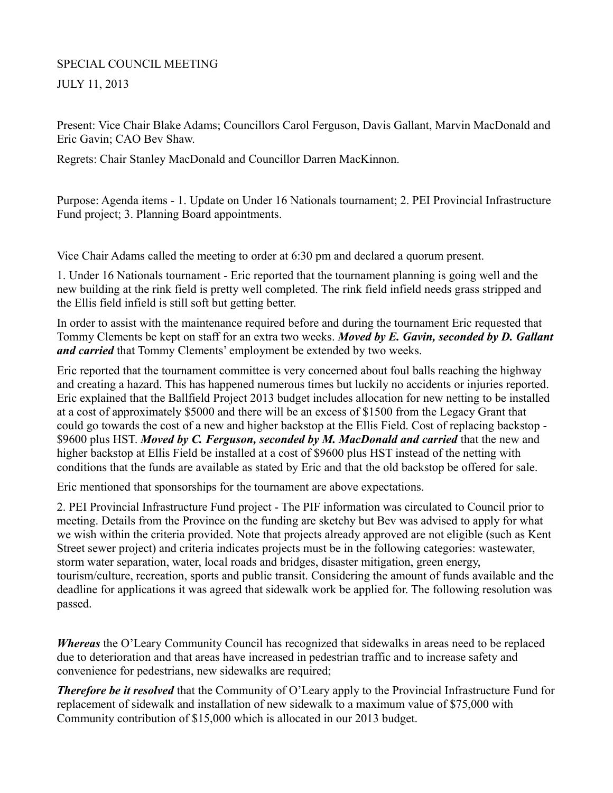## SPECIAL COUNCIL MEETING JULY 11, 2013

Present: Vice Chair Blake Adams; Councillors Carol Ferguson, Davis Gallant, Marvin MacDonald and Eric Gavin; CAO Bev Shaw.

Regrets: Chair Stanley MacDonald and Councillor Darren MacKinnon.

Purpose: Agenda items - 1. Update on Under 16 Nationals tournament; 2. PEI Provincial Infrastructure Fund project; 3. Planning Board appointments.

Vice Chair Adams called the meeting to order at 6:30 pm and declared a quorum present.

1. Under 16 Nationals tournament - Eric reported that the tournament planning is going well and the new building at the rink field is pretty well completed. The rink field infield needs grass stripped and the Ellis field infield is still soft but getting better.

In order to assist with the maintenance required before and during the tournament Eric requested that Tommy Clements be kept on staff for an extra two weeks. *Moved by E. Gavin, seconded by D. Gallant and carried* that Tommy Clements' employment be extended by two weeks.

Eric reported that the tournament committee is very concerned about foul balls reaching the highway and creating a hazard. This has happened numerous times but luckily no accidents or injuries reported. Eric explained that the Ballfield Project 2013 budget includes allocation for new netting to be installed at a cost of approximately \$5000 and there will be an excess of \$1500 from the Legacy Grant that could go towards the cost of a new and higher backstop at the Ellis Field. Cost of replacing backstop - \$9600 plus HST. *Moved by C. Ferguson, seconded by M. MacDonald and carried* that the new and higher backstop at Ellis Field be installed at a cost of \$9600 plus HST instead of the netting with conditions that the funds are available as stated by Eric and that the old backstop be offered for sale.

Eric mentioned that sponsorships for the tournament are above expectations.

2. PEI Provincial Infrastructure Fund project - The PIF information was circulated to Council prior to meeting. Details from the Province on the funding are sketchy but Bev was advised to apply for what we wish within the criteria provided. Note that projects already approved are not eligible (such as Kent Street sewer project) and criteria indicates projects must be in the following categories: wastewater, storm water separation, water, local roads and bridges, disaster mitigation, green energy, tourism/culture, recreation, sports and public transit. Considering the amount of funds available and the deadline for applications it was agreed that sidewalk work be applied for. The following resolution was passed.

*Whereas* the O'Leary Community Council has recognized that sidewalks in areas need to be replaced due to deterioration and that areas have increased in pedestrian traffic and to increase safety and convenience for pedestrians, new sidewalks are required;

*Therefore be it resolved* that the Community of O'Leary apply to the Provincial Infrastructure Fund for replacement of sidewalk and installation of new sidewalk to a maximum value of \$75,000 with Community contribution of \$15,000 which is allocated in our 2013 budget.